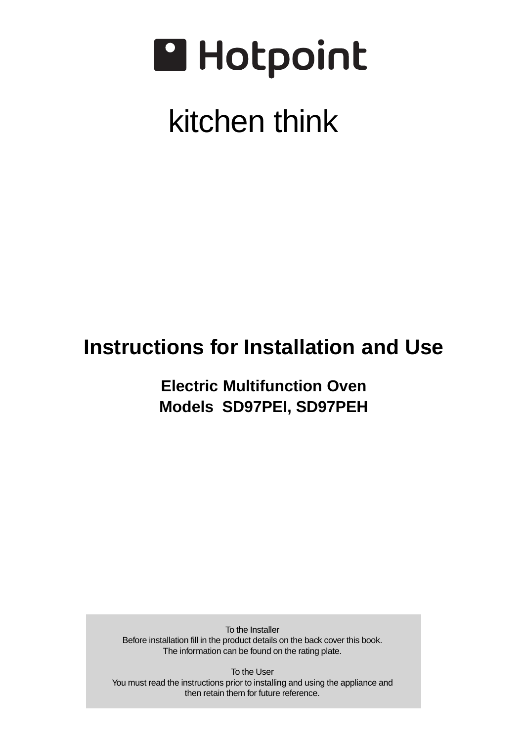

# kitchen think

# **Instructions for Installation and Use**

**Electric Multifunction Oven Models SD97PEI, SD97PEH**

To the Installer Before installation fill in the product details on the back cover this book. The information can be found on the rating plate.

To the User You must read the instructions prior to installing and using the appliance and then retain them for future reference.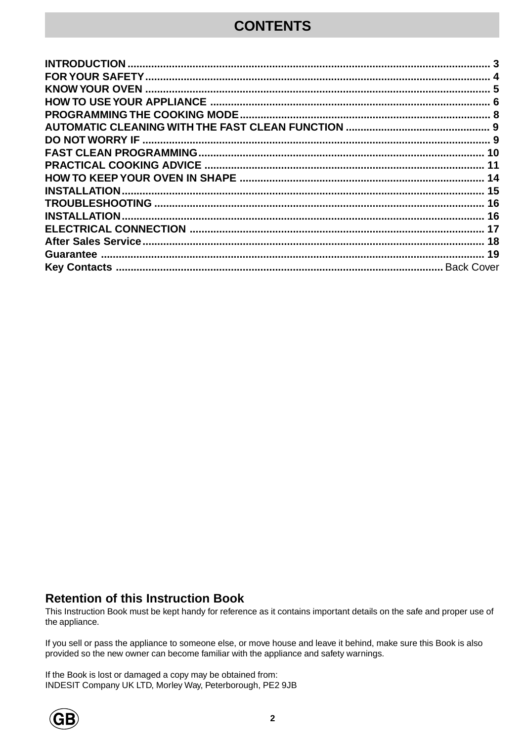### **Retention of this Instruction Book**

This Instruction Book must be kept handy for reference as it contains important details on the safe and proper use of the appliance.

If you sell or pass the appliance to someone else, or move house and leave it behind, make sure this Book is also provided so the new owner can become familiar with the appliance and safety warnings.

If the Book is lost or damaged a copy may be obtained from: INDESIT Company UK LTD, Morley Way, Peterborough, PE2 9JB

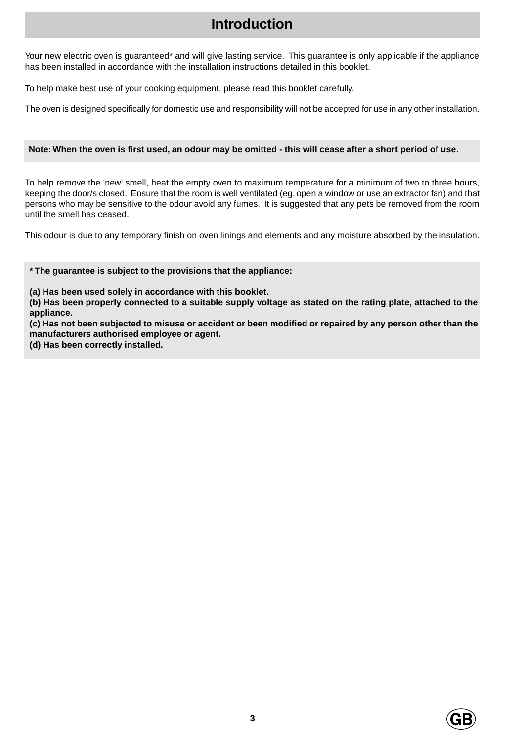# **Introduction**

<span id="page-2-0"></span>Your new electric oven is guaranteed\* and will give lasting service. This guarantee is only applicable if the appliance has been installed in accordance with the installation instructions detailed in this booklet.

To help make best use of your cooking equipment, please read this booklet carefully.

The oven is designed specifically for domestic use and responsibility will not be accepted for use in any other installation.

#### **Note: When the oven is first used, an odour may be omitted - this will cease after a short period of use.**

To help remove the 'new' smell, heat the empty oven to maximum temperature for a minimum of two to three hours, keeping the door/s closed. Ensure that the room is well ventilated (eg. open a window or use an extractor fan) and that persons who may be sensitive to the odour avoid any fumes. It is suggested that any pets be removed from the room until the smell has ceased.

This odour is due to any temporary finish on oven linings and elements and any moisture absorbed by the insulation.

**\* The guarantee is subject to the provisions that the appliance:**

**(a) Has been used solely in accordance with this booklet.**

**(b) Has been properly connected to a suitable supply voltage as stated on the rating plate, attached to the appliance.**

**(c) Has not been subjected to misuse or accident or been modified or repaired by any person other than the manufacturers authorised employee or agent.**

**(d) Has been correctly installed.**

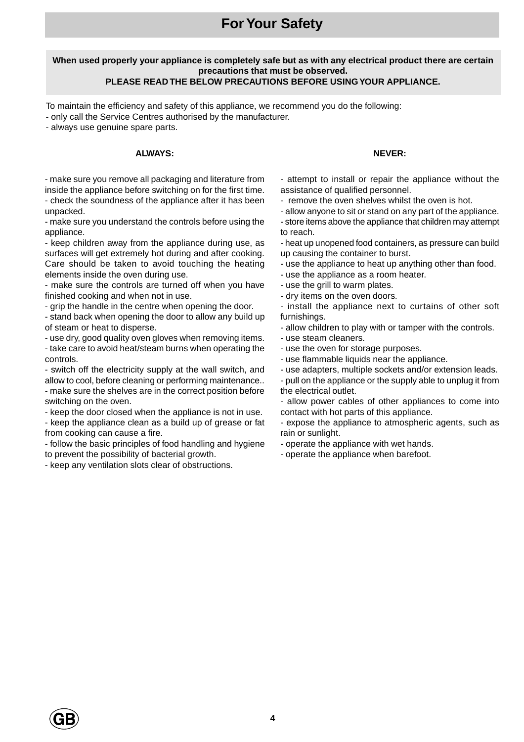# **For Your Safety**

#### <span id="page-3-0"></span>**When used properly your appliance is completely safe but as with any electrical product there are certain precautions that must be observed. PLEASE READ THE BELOW PRECAUTIONS BEFORE USING YOUR APPLIANCE.**

To maintain the efficiency and safety of this appliance, we recommend you do the following:

- only call the Service Centres authorised by the manufacturer.
- always use genuine spare parts.

#### **ALWAYS:**

- make sure you remove all packaging and literature from inside the appliance before switching on for the first time. - check the soundness of the appliance after it has been unpacked.

- make sure you understand the controls before using the appliance.

- keep children away from the appliance during use, as surfaces will get extremely hot during and after cooking. Care should be taken to avoid touching the heating elements inside the oven during use.

- make sure the controls are turned off when you have finished cooking and when not in use.

- grip the handle in the centre when opening the door.

- stand back when opening the door to allow any build up of steam or heat to disperse.

- use dry, good quality oven gloves when removing items. - take care to avoid heat/steam burns when operating the controls.

- switch off the electricity supply at the wall switch, and allow to cool, before cleaning or performing maintenance..

- make sure the shelves are in the correct position before switching on the oven.

- keep the door closed when the appliance is not in use.

- keep the appliance clean as a build up of grease or fat from cooking can cause a fire.

- follow the basic principles of food handling and hygiene to prevent the possibility of bacterial growth.

- keep any ventilation slots clear of obstructions.

#### **NEVER:**

- attempt to install or repair the appliance without the assistance of qualified personnel.

- remove the oven shelves whilst the oven is hot.

- allow anyone to sit or stand on any part of the appliance. - store items above the appliance that children may attempt to reach.

- heat up unopened food containers, as pressure can build up causing the container to burst.

- use the appliance to heat up anything other than food.

- use the appliance as a room heater.

- use the grill to warm plates.

- dry items on the oven doors.

- install the appliance next to curtains of other soft furnishings.

- allow children to play with or tamper with the controls.

- use steam cleaners.

- use the oven for storage purposes.

- use flammable liquids near the appliance.

- use adapters, multiple sockets and/or extension leads.

- pull on the appliance or the supply able to unplug it from the electrical outlet.

- allow power cables of other appliances to come into contact with hot parts of this appliance.

- expose the appliance to atmospheric agents, such as rain or sunlight.

- operate the appliance with wet hands.
- operate the appliance when barefoot.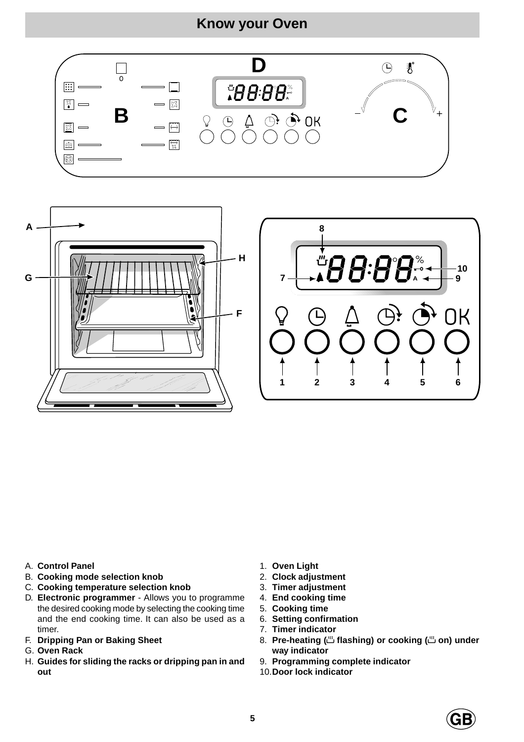## **Know your Oven**

<span id="page-4-0"></span>





#### A. **Control Panel**

- B. **Cooking mode selection knob**
- C. **Cooking temperature selection knob**
- D. **Electronic programmer**  Allows you to programme the desired cooking mode by selecting the cooking time and the end cooking time. It can also be used as a timer.
- F. **Dripping Pan or Baking Sheet**
- G. **Oven Rack**
- H. **Guides for sliding the racks or dripping pan in and out**
- 1. **Oven Light**
- 2. **Clock adjustment**
- 3. **Timer adjustment**
- 4. **End cooking time**
- 5. **Cooking time**
- 6. **Setting confirmation**
- 7. **Timer indicator**
- 8. **Pre-heating (**m **flashing) or cooking (**m **on) under way indicator**
- 9. **Programming complete indicator**
- 10.**Door lock indicator**

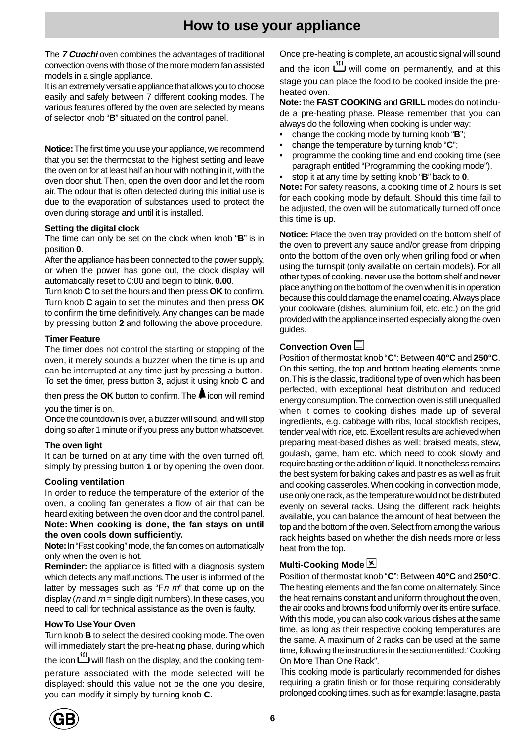## **How to use your appliance**

<span id="page-5-0"></span>The **7 Cuochi** oven combines the advantages of traditional convection ovens with those of the more modern fan assisted models in a single appliance.

It is an extremely versatile appliance that allows you to choose easily and safely between 7 different cooking modes. The various features offered by the oven are selected by means of selector knob "**B**" situated on the control panel.

**Notice:** The first time you use your appliance, we recommend that you set the thermostat to the highest setting and leave the oven on for at least half an hour with nothing in it, with the oven door shut. Then, open the oven door and let the room air. The odour that is often detected during this initial use is due to the evaporation of substances used to protect the oven during storage and until it is installed.

#### **Setting the digital clock**

The time can only be set on the clock when knob "**B**" is in position **0**.

After the appliance has been connected to the power supply, or when the power has gone out, the clock display will automatically reset to 0:00 and begin to blink. **0.00**.

Turn knob **C** to set the hours and then press **OK** to confirm. Turn knob **C** again to set the minutes and then press **OK** to confirm the time definitively. Any changes can be made by pressing button **2** and following the above procedure.

#### **Timer Feature**

The timer does not control the starting or stopping of the oven, it merely sounds a buzzer when the time is up and can be interrupted at any time just by pressing a button. To set the timer, press button **3**, adjust it using knob **C** and

then press the  $OK$  button to confirm. The  $\blacktriangle$  icon will remind you the timer is on.

Once the countdown is over, a buzzer will sound, and will stop doing so after 1 minute or if you press any button whatsoever.

#### **The oven light**

It can be turned on at any time with the oven turned off, simply by pressing button **1** or by opening the oven door.

#### **Cooling ventilation**

In order to reduce the temperature of the exterior of the oven, a cooling fan generates a flow of air that can be heard exiting between the oven door and the control panel. **Note: When cooking is done, the fan stays on until the oven cools down sufficiently.**

**Note:** In "Fast cooking" mode, the fan comes on automatically only when the oven is hot.

**Reminder:** the appliance is fitted with a diagnosis system which detects any malfunctions. The user is informed of the latter by messages such as "F $n$  m" that come up on the display (*n* and  $m =$  single digit numbers). In these cases, you need to call for technical assistance as the oven is faulty.

#### **How To Use Your Oven**

Turn knob **B** to select the desired cooking mode. The oven will immediately start the pre-heating phase, during which

the icon  $\mathbf{w}^{\text{III}}$  will flash on the display, and the cooking tem-

perature associated with the mode selected will be displayed: should this value not be the one you desire, you can modify it simply by turning knob **C**.

Once pre-heating is complete, an acoustic signal will sound and the icon  $\mathbf{w}$  will come on permanently, and at this stage you can place the food to be cooked inside the preheated oven.

**Note:** the **FAST COOKING** and **GRILL** modes do not include a pre-heating phase. Please remember that you can always do the following when cooking is under way:

- change the cooking mode by turning knob "**B**";
- change the temperature by turning knob "**C**";
- programme the cooking time and end cooking time (see paragraph entitled "Programming the cooking mode").
- stop it at any time by setting knob "**B**" back to **0**.

**Note:** For safety reasons, a cooking time of 2 hours is set for each cooking mode by default. Should this time fail to be adjusted, the oven will be automatically turned off once this time is up.

**Notice:** Place the oven tray provided on the bottom shelf of the oven to prevent any sauce and/or grease from dripping onto the bottom of the oven only when grilling food or when using the turnspit (only available on certain models). For all other types of cooking, never use the bottom shelf and never place anything on the bottom of the oven when it is in operation because this could damage the enamel coating. Always place your cookware (dishes, aluminium foil, etc. etc.) on the grid provided with the appliance inserted especially along the oven guides.

#### **Convection Oven**  $\Box$

Position of thermostat knob "**C**": Between **40°C** and **250°C**. On this setting, the top and bottom heating elements come on. This is the classic, traditional type of oven which has been perfected, with exceptional heat distribution and reduced energy consumption. The convection oven is still unequalled when it comes to cooking dishes made up of several ingredients, e.g. cabbage with ribs, local stockfish recipes, tender veal with rice, etc. Excellent results are achieved when preparing meat-based dishes as well: braised meats, stew, goulash, game, ham etc. which need to cook slowly and require basting or the addition of liquid. It nonetheless remains the best system for baking cakes and pastries as well as fruit and cooking casseroles. When cooking in convection mode, use only one rack, as the temperature would not be distributed evenly on several racks. Using the different rack heights available, you can balance the amount of heat between the top and the bottom of the oven. Select from among the various rack heights based on whether the dish needs more or less heat from the top.

#### **Multi-Cooking Mode |X|**

Position of thermostat knob "**C**": Between **40°C** and **250°C**. The heating elements and the fan come on alternately. Since the heat remains constant and uniform throughout the oven, the air cooks and browns food uniformly over its entire surface. With this mode, you can also cook various dishes at the same time, as long as their respective cooking temperatures are the same. A maximum of 2 racks can be used at the same time, following the instructions in the section entitled: "Cooking On More Than One Rack".

This cooking mode is particularly recommended for dishes requiring a gratin finish or for those requiring considerably prolonged cooking times, such as for example: lasagne, pasta

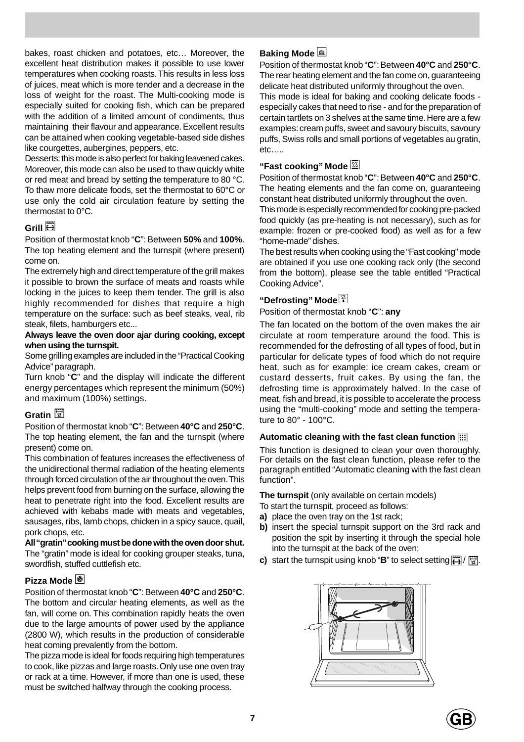bakes, roast chicken and potatoes, etc… Moreover, the excellent heat distribution makes it possible to use lower temperatures when cooking roasts. This results in less loss of juices, meat which is more tender and a decrease in the loss of weight for the roast. The Multi-cooking mode is especially suited for cooking fish, which can be prepared with the addition of a limited amount of condiments, thus maintaining their flavour and appearance. Excellent results can be attained when cooking vegetable-based side dishes like courgettes, aubergines, peppers, etc.

Desserts: this mode is also perfect for baking leavened cakes. Moreover, this mode can also be used to thaw quickly white or red meat and bread by setting the temperature to 80 °C. To thaw more delicate foods, set the thermostat to 60°C or use only the cold air circulation feature by setting the thermostat to 0°C.

#### **Grill** 2

Position of thermostat knob "**C**": Between **50%** and **100%**. The top heating element and the turnspit (where present) come on.

The extremely high and direct temperature of the grill makes it possible to brown the surface of meats and roasts while locking in the juices to keep them tender. The grill is also highly recommended for dishes that require a high temperature on the surface: such as beef steaks, veal, rib steak, filets, hamburgers etc...

#### **Always leave the oven door ajar during cooking, except when using the turnspit.**

Some grilling examples are included in the "Practical Cooking Advice" paragraph.

Turn knob "**C**" and the display will indicate the different energy percentages which represent the minimum (50%) and maximum (100%) settings.

#### Gratin **x**

Position of thermostat knob "**C**": Between **40°C** and **250°C**. The top heating element, the fan and the turnspit (where present) come on.

This combination of features increases the effectiveness of the unidirectional thermal radiation of the heating elements through forced circulation of the air throughout the oven. This helps prevent food from burning on the surface, allowing the heat to penetrate right into the food. Excellent results are achieved with kebabs made with meats and vegetables, sausages, ribs, lamb chops, chicken in a spicy sauce, quail, pork chops, etc.

**All "gratin" cooking must be done with the oven door shut.** The "gratin" mode is ideal for cooking grouper steaks, tuna, swordfish, stuffed cuttlefish etc.

#### **Pizza Mode W**

Position of thermostat knob "**C**": Between **40°C** and **250°C**. The bottom and circular heating elements, as well as the fan, will come on. This combination rapidly heats the oven due to the large amounts of power used by the appliance (2800 W), which results in the production of considerable heat coming prevalently from the bottom.

The pizza mode is ideal for foods requiring high temperatures to cook, like pizzas and large roasts. Only use one oven tray or rack at a time. However, if more than one is used, these must be switched halfway through the cooking process.

#### **Baking Mode** 国

Position of thermostat knob "**C**": Between **40°C** and **250°C**. The rear heating element and the fan come on, guaranteeing delicate heat distributed uniformly throughout the oven.

This mode is ideal for baking and cooking delicate foods especially cakes that need to rise - and for the preparation of certain tartlets on 3 shelves at the same time. Here are a few examples: cream puffs, sweet and savoury biscuits, savoury puffs, Swiss rolls and small portions of vegetables au gratin, etc…..

#### **"Fast cooking" Mode**

Position of thermostat knob "**C**": Between **40°C** and **250°C**. The heating elements and the fan come on, guaranteeing constant heat distributed uniformly throughout the oven. This mode is especially recommended for cooking pre-packed food quickly (as pre-heating is not necessary), such as for example: frozen or pre-cooked food) as well as for a few "home-made" dishes.

The best results when cooking using the "Fast cooking" mode are obtained if you use one cooking rack only (the second from the bottom), please see the table entitled "Practical Cooking Advice".

#### **"Defrosting" Mode**

Position of thermostat knob "**C**": **any**

The fan located on the bottom of the oven makes the air circulate at room temperature around the food. This is recommended for the defrosting of all types of food, but in particular for delicate types of food which do not require heat, such as for example: ice cream cakes, cream or custard desserts, fruit cakes. By using the fan, the defrosting time is approximately halved. In the case of meat, fish and bread, it is possible to accelerate the process using the "multi-cooking" mode and setting the temperature to 80° - 100°C.

#### Automatic cleaning with the fast clean function **Fig.**

This function is designed to clean your oven thoroughly. For details on the fast clean function, please refer to the paragraph entitled "Automatic cleaning with the fast clean function".

**The turnspit** (only available on certain models)

- To start the turnspit, proceed as follows:
- **a)** place the oven tray on the 1st rack;
- **b)** insert the special turnspit support on the 3rd rack and position the spit by inserting it through the special hole into the turnspit at the back of the oven;
- **c)** start the turnspit using knob "**B**" to select setting  $\boxed{\mathbf{H}}$  /  $\boxed{\mathbf{H}}$ .

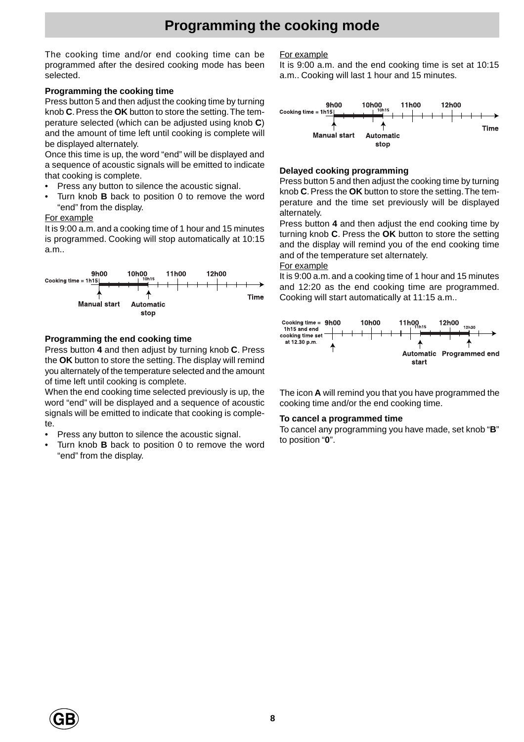### **Programming the cooking mode**

<span id="page-7-0"></span>The cooking time and/or end cooking time can be programmed after the desired cooking mode has been selected.

#### **Programming the cooking time**

Press button 5 and then adjust the cooking time by turning knob **C**. Press the **OK** button to store the setting. The temperature selected (which can be adjusted using knob **C**) and the amount of time left until cooking is complete will be displayed alternately.

Once this time is up, the word "end" will be displayed and a sequence of acoustic signals will be emitted to indicate that cooking is complete.

- Press any button to silence the acoustic signal.
- Turn knob **B** back to position 0 to remove the word "end" from the display.

#### For example

It is 9:00 a.m. and a cooking time of 1 hour and 15 minutes is programmed. Cooking will stop automatically at 10:15 a.m..



#### **Programming the end cooking time**

Press button **4** and then adjust by turning knob **C**. Press the **OK** button to store the setting. The display will remind you alternately of the temperature selected and the amount of time left until cooking is complete.

When the end cooking time selected previously is up, the word "end" will be displayed and a sequence of acoustic signals will be emitted to indicate that cooking is complete.

- Press any button to silence the acoustic signal.
- Turn knob **B** back to position 0 to remove the word "end" from the display.

#### For example

It is 9:00 a.m. and the end cooking time is set at 10:15 a.m.. Cooking will last 1 hour and 15 minutes.



#### **Delayed cooking programming**

Press button 5 and then adjust the cooking time by turning knob **C**. Press the **OK** button to store the setting. The temperature and the time set previously will be displayed alternately.

Press button **4** and then adjust the end cooking time by turning knob **C**. Press the **OK** button to store the setting and the display will remind you of the end cooking time and of the temperature set alternately.

#### For example

It is 9:00 a.m. and a cooking time of 1 hour and 15 minutes and 12:20 as the end cooking time are programmed. Cooking will start automatically at 11:15 a.m..



The icon **A** will remind you that you have programmed the cooking time and/or the end cooking time.

#### **To cancel a programmed time**

To cancel any programming you have made, set knob "**B**" to position "**0**".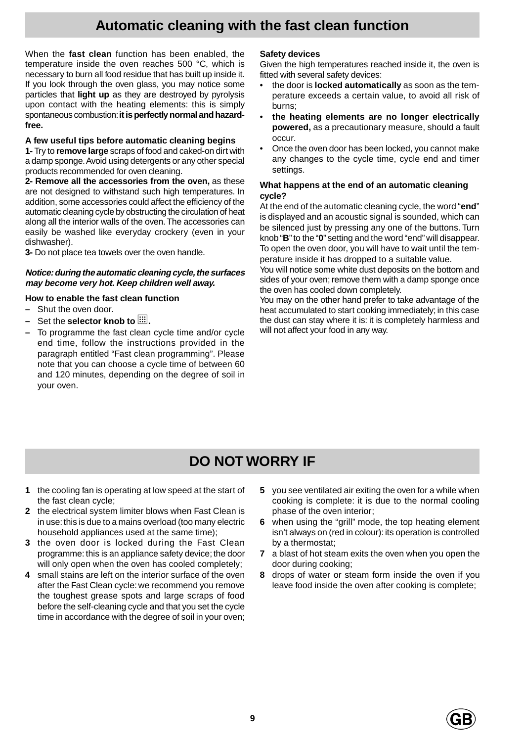# **Automatic cleaning with the fast clean function**

<span id="page-8-0"></span>When the **fast clean** function has been enabled, the temperature inside the oven reaches 500 °C, which is necessary to burn all food residue that has built up inside it. If you look through the oven glass, you may notice some particles that **light up** as they are destroyed by pyrolysis upon contact with the heating elements: this is simply spontaneous combustion: **it is perfectly normal and hazardfree.**

#### **A few useful tips before automatic cleaning begins**

**1-** Try to **remove large** scraps of food and caked-on dirt with a damp sponge. Avoid using detergents or any other special products recommended for oven cleaning.

**2- Remove all the accessories from the oven,** as these are not designed to withstand such high temperatures. In addition, some accessories could affect the efficiency of the automatic cleaning cycle by obstructing the circulation of heat along all the interior walls of the oven. The accessories can easily be washed like everyday crockery (even in your dishwasher).

**3-** Do not place tea towels over the oven handle.

#### **Notice: during the automatic cleaning cycle, the surfaces may become very hot. Keep children well away.**

#### **How to enable the fast clean function**

- **–** Shut the oven door.
- **Set the selector knob to**  $\left[\frac{1}{2}\right]$ **.**
- **–** To programme the fast clean cycle time and/or cycle end time, follow the instructions provided in the paragraph entitled "Fast clean programming". Please note that you can choose a cycle time of between 60 and 120 minutes, depending on the degree of soil in your oven.

#### **Safety devices**

Given the high temperatures reached inside it, the oven is fitted with several safety devices:

- the door is **locked automatically** as soon as the temperature exceeds a certain value, to avoid all risk of burns;
- **the heating elements are no longer electrically powered,** as a precautionary measure, should a fault occur.
- Once the oven door has been locked, you cannot make any changes to the cycle time, cycle end and timer settings.

#### **What happens at the end of an automatic cleaning cycle?**

At the end of the automatic cleaning cycle, the word "**end**" is displayed and an acoustic signal is sounded, which can be silenced just by pressing any one of the buttons. Turn knob "**B**" to the "**0**" setting and the word "end" will disappear. To open the oven door, you will have to wait until the temperature inside it has dropped to a suitable value.

You will notice some white dust deposits on the bottom and sides of your oven; remove them with a damp sponge once the oven has cooled down completely.

You may on the other hand prefer to take advantage of the heat accumulated to start cooking immediately; in this case the dust can stay where it is: it is completely harmless and will not affect your food in any way.

# **DO NOT WORRY IF**

- **1** the cooling fan is operating at low speed at the start of the fast clean cycle;
- **2** the electrical system limiter blows when Fast Clean is in use: this is due to a mains overload (too many electric household appliances used at the same time);
- **3** the oven door is locked during the Fast Clean programme: this is an appliance safety device; the door will only open when the oven has cooled completely;
- **4** small stains are left on the interior surface of the oven after the Fast Clean cycle: we recommend you remove the toughest grease spots and large scraps of food before the self-cleaning cycle and that you set the cycle time in accordance with the degree of soil in your oven;
- **5** you see ventilated air exiting the oven for a while when cooking is complete: it is due to the normal cooling phase of the oven interior;
- **6** when using the "grill" mode, the top heating element isn't always on (red in colour): its operation is controlled by a thermostat;
- **7** a blast of hot steam exits the oven when you open the door during cooking;
- **8** drops of water or steam form inside the oven if you leave food inside the oven after cooking is complete;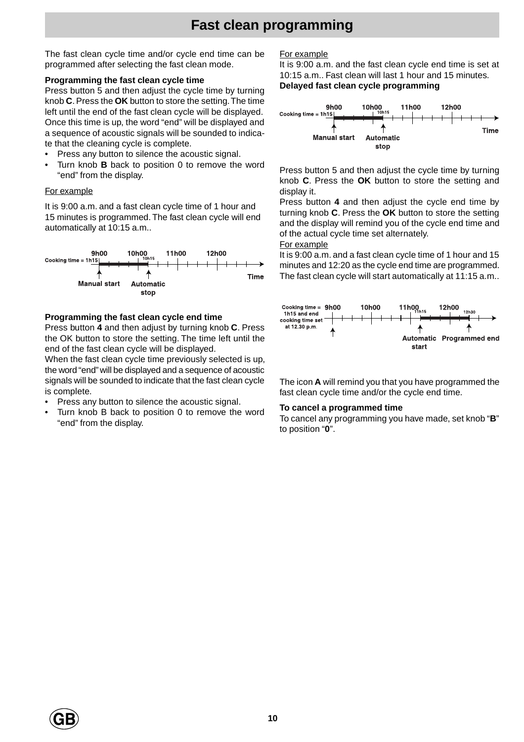<span id="page-9-0"></span>The fast clean cycle time and/or cycle end time can be programmed after selecting the fast clean mode.

#### **Programming the fast clean cycle time**

Press button 5 and then adjust the cycle time by turning knob **C**. Press the **OK** button to store the setting. The time left until the end of the fast clean cycle will be displayed. Once this time is up, the word "end" will be displayed and a sequence of acoustic signals will be sounded to indicate that the cleaning cycle is complete.

- Press any button to silence the acoustic signal.
- Turn knob **B** back to position 0 to remove the word "end" from the display.

#### For example

It is 9:00 a.m. and a fast clean cycle time of 1 hour and 15 minutes is programmed. The fast clean cycle will end automatically at 10:15 a.m..



#### **Programming the fast clean cycle end time**

Press button **4** and then adjust by turning knob **C**. Press the OK button to store the setting. The time left until the end of the fast clean cycle will be displayed.

When the fast clean cycle time previously selected is up, the word "end" will be displayed and a sequence of acoustic signals will be sounded to indicate that the fast clean cycle is complete.

- Press any button to silence the acoustic signal.
- Turn knob B back to position 0 to remove the word "end" from the display.

#### For example

It is 9:00 a.m. and the fast clean cycle end time is set at 10:15 a.m.. Fast clean will last 1 hour and 15 minutes. **Delayed fast clean cycle programming**



Press button 5 and then adjust the cycle time by turning knob **C**. Press the **OK** button to store the setting and display it.

Press button **4** and then adjust the cycle end time by turning knob **C**. Press the **OK** button to store the setting and the display will remind you of the cycle end time and of the actual cycle time set alternately.

For example

It is 9:00 a.m. and a fast clean cycle time of 1 hour and 15 minutes and 12:20 as the cycle end time are programmed. The fast clean cycle will start automatically at 11:15 a.m..



The icon **A** will remind you that you have programmed the fast clean cycle time and/or the cycle end time.

#### **To cancel a programmed time**

To cancel any programming you have made, set knob "**B**" to position "**0**".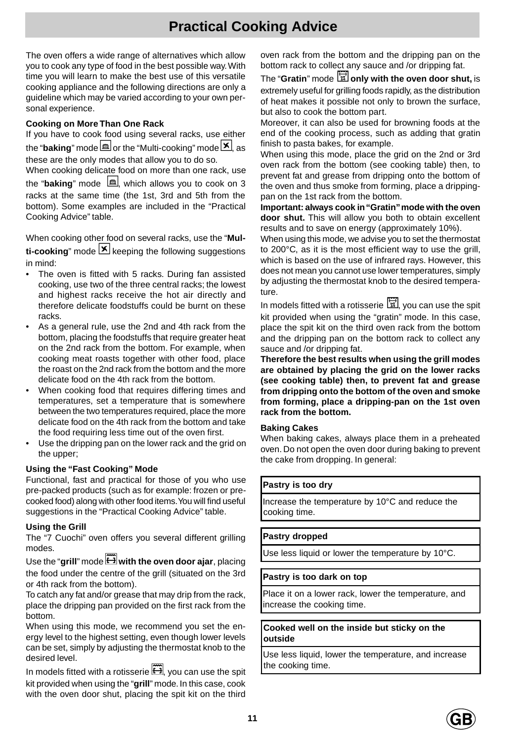# **Practical Cooking Advice**

<span id="page-10-0"></span>The oven offers a wide range of alternatives which allow you to cook any type of food in the best possible way. With time you will learn to make the best use of this versatile cooking appliance and the following directions are only a guideline which may be varied according to your own personal experience.

#### **Cooking on More Than One Rack**

If you have to cook food using several racks, use either the "**baking**" mode  $\boxed{\triangle}$  or the "Multi-cooking" mode  $\boxed{\triangle}$ , as these are the only modes that allow you to do so.

When cooking delicate food on more than one rack, use

the "**baking**" mode  $\boxed{\boxplus}$ , which allows you to cook on 3 racks at the same time (the 1st, 3rd and 5th from the bottom). Some examples are included in the "Practical Cooking Advice" table.

When cooking other food on several racks, use the "**Multi-cooking**" mode  $\boxed{\times}$  keeping the following suggestions in mind:

- The oven is fitted with 5 racks. During fan assisted cooking, use two of the three central racks; the lowest and highest racks receive the hot air directly and therefore delicate foodstuffs could be burnt on these racks.
- As a general rule, use the 2nd and 4th rack from the bottom, placing the foodstuffs that require greater heat on the 2nd rack from the bottom. For example, when cooking meat roasts together with other food, place the roast on the 2nd rack from the bottom and the more delicate food on the 4th rack from the bottom.
- When cooking food that requires differing times and temperatures, set a temperature that is somewhere between the two temperatures required, place the more delicate food on the 4th rack from the bottom and take the food requiring less time out of the oven first.
- Use the dripping pan on the lower rack and the grid on the upper;

#### **Using the "Fast Cooking" Mode**

Functional, fast and practical for those of you who use pre-packed products (such as for example: frozen or precooked food) along with other food items. You will find useful suggestions in the "Practical Cooking Advice" table.

#### **Using the Grill**

The "7 Cuochi" oven offers you several different grilling modes.

Use the "grill" mode  $\boxed{1}$  with the oven door ajar, placing the food under the centre of the grill (situated on the 3rd or 4th rack from the bottom).

To catch any fat and/or grease that may drip from the rack, place the dripping pan provided on the first rack from the bottom.

When using this mode, we recommend you set the energy level to the highest setting, even though lower levels can be set, simply by adjusting the thermostat knob to the desired level.

In models fitted with a rotisserie  $\mathbf{H}$ , you can use the spit kit provided when using the "**grill**" mode. In this case, cook with the oven door shut, placing the spit kit on the third oven rack from the bottom and the dripping pan on the bottom rack to collect any sauce and /or dripping fat.

The "**Gratin**" mode T**only with the oven door shut,** is extremely useful for grilling foods rapidly, as the distribution of heat makes it possible not only to brown the surface, but also to cook the bottom part.

Moreover, it can also be used for browning foods at the end of the cooking process, such as adding that gratin finish to pasta bakes, for example.

When using this mode, place the grid on the 2nd or 3rd oven rack from the bottom (see cooking table) then, to prevent fat and grease from dripping onto the bottom of the oven and thus smoke from forming, place a drippingpan on the 1st rack from the bottom.

**Important: always cook in "Gratin" mode with the oven door shut.** This will allow you both to obtain excellent results and to save on energy (approximately 10%).

When using this mode, we advise you to set the thermostat to 200°C, as it is the most efficient way to use the grill, which is based on the use of infrared rays. However, this does not mean you cannot use lower temperatures, simply by adjusting the thermostat knob to the desired temperature.

In models fitted with a rotisserie  $\mathbb{E}$ , you can use the spit kit provided when using the "gratin" mode. In this case, place the spit kit on the third oven rack from the bottom and the dripping pan on the bottom rack to collect any sauce and /or dripping fat.

**Therefore the best results when using the grill modes are obtained by placing the grid on the lower racks (see cooking table) then, to prevent fat and grease from dripping onto the bottom of the oven and smoke from forming, place a dripping-pan on the 1st oven rack from the bottom.**

#### **Baking Cakes**

When baking cakes, always place them in a preheated oven. Do not open the oven door during baking to prevent the cake from dropping. In general:

#### **Pastry is too dry**

Increase the temperature by 10°C and reduce the cooking time.

#### **Pastry dropped**

Use less liquid or lower the temperature by 10°C.

#### **Pastry is too dark on top**

Place it on a lower rack, lower the temperature, and increase the cooking time.

#### **Cooked well on the inside but sticky on the outside**

Use less liquid, lower the temperature, and increase the cooking time.



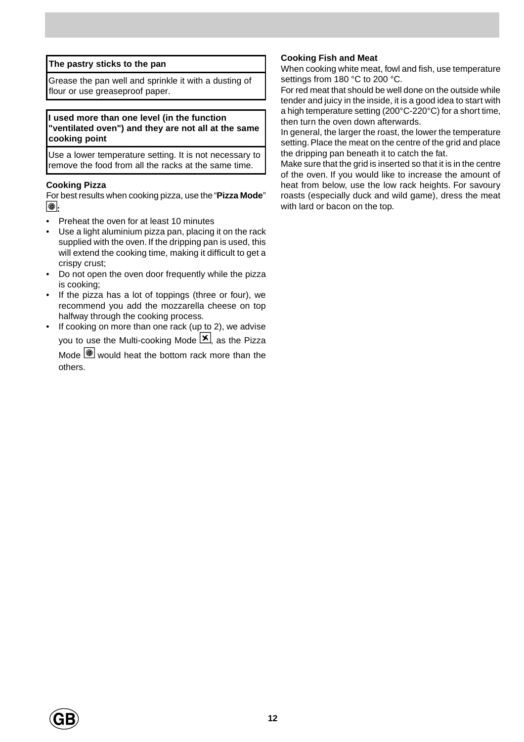#### **The pastry sticks to the pan**

Grease the pan well and sprinkle it with a dusting of flour or use greaseproof paper.

**I used more than one level (in the function "ventilated oven") and they are not all at the same cooking point**

Use a lower temperature setting. It is not necessary to remove the food from all the racks at the same time.

#### **Cooking Pizza**

For best results when cooking pizza, use the "**Pizza Mode**" w**:**

- Preheat the oven for at least 10 minutes
- Use a light aluminium pizza pan, placing it on the rack supplied with the oven. If the dripping pan is used, this will extend the cooking time, making it difficult to get a crispy crust;
- Do not open the oven door frequently while the pizza is cooking;
- If the pizza has a lot of toppings (three or four), we recommend you add the mozzarella cheese on top halfway through the cooking process.
- If cooking on more than one rack (up to 2), we advise you to use the Multi-cooking Mode  $\mathbf{X}$ , as the Pizza

Mode  $\circledR$  would heat the bottom rack more than the others.

#### **Cooking Fish and Meat**

When cooking white meat, fowl and fish, use temperature settings from 180 °C to 200 °C.

For red meat that should be well done on the outside while tender and juicy in the inside, it is a good idea to start with a high temperature setting (200°C-220°C) for a short time, then turn the oven down afterwards.

In general, the larger the roast, the lower the temperature setting. Place the meat on the centre of the grid and place the dripping pan beneath it to catch the fat.

Make sure that the grid is inserted so that it is in the centre of the oven. If you would like to increase the amount of heat from below, use the low rack heights. For savoury roasts (especially duck and wild game), dress the meat with lard or bacon on the top.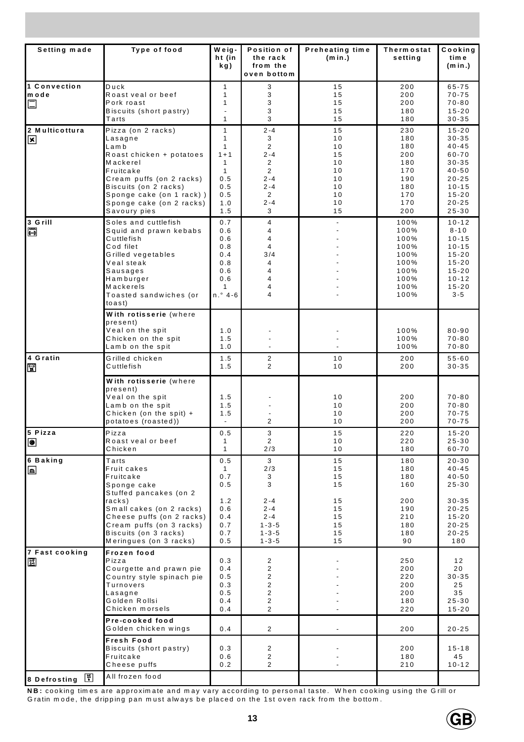| Setting made         | Type of food                                          | Weig-                                    | Position of                         | Preheating time          | <b>Thermostat</b> | Cooking                |
|----------------------|-------------------------------------------------------|------------------------------------------|-------------------------------------|--------------------------|-------------------|------------------------|
|                      |                                                       | ht (in<br>kg)                            | the rack<br>from the<br>oven bottom | (min.)                   | setting           | tim e<br>(min.)        |
| 1 Convection<br>mode | Duck<br>Roast veal or beef                            | $\mathbf{1}$<br>$\mathbf{1}$             | 3<br>3                              | 15<br>15                 | 200<br>200        | 65-75<br>$70 - 75$     |
| $\Box$               | Pork roast                                            | $\mathbf{1}$                             | 3                                   | 15                       | 200               | $70 - 80$              |
|                      | Biscuits (short pastry)<br>Tarts                      | $\overline{\phantom{a}}$<br>$\mathbf{1}$ | 3<br>3                              | 15<br>15                 | 180<br>180        | $15 - 20$<br>$30 - 35$ |
| 2 Multicottura       | Pizza (on 2 racks)<br>Lasagne                         | $\mathbf{1}$<br>$\mathbf{1}$             | $2 - 4$<br>3                        | 15<br>10                 | 230<br>180        | $15 - 20$<br>$30 - 35$ |
| 図                    | Lamb                                                  | $\mathbf{1}$                             | $\overline{2}$                      | 10                       | 180               | $40 - 45$              |
|                      | Roast chicken + potatoes<br>Mackerel                  | $1 + 1$<br>$\mathbf{1}$                  | $2 - 4$<br>$\overline{2}$           | 15<br>10                 | 200<br>180        | 60-70<br>$30 - 35$     |
|                      | Fruitcake<br>Cream puffs (on 2 racks)                 | $\mathbf{1}$<br>0.5                      | $\overline{2}$<br>$2 - 4$           | 10<br>10                 | 170<br>190        | $40 - 50$<br>$20 - 25$ |
|                      | Biscuits (on 2 racks)<br>Sponge cake (on 1 rack))     | 0.5<br>0.5                               | $2 - 4$<br>$\overline{2}$           | 10<br>10                 | 180<br>170        | $10 - 15$<br>$15 - 20$ |
|                      | Sponge cake (on 2 racks)                              | 1.0                                      | $2 - 4$                             | 10                       | 170               | $20 - 25$              |
| 3 Grill              | Savoury pies<br>Soles and cuttlefish                  | 1.5<br>0.7                               | 3<br>$\overline{4}$                 | 15<br>$\mathbf{r}$       | 200<br>100%       | $25 - 30$<br>$10 - 12$ |
| Ë                    | Squid and prawn kebabs<br>Cuttlefish                  | 0.6<br>0.6                               | 4<br>$\overline{\mathbf{4}}$        |                          | 100%<br>100%      | $8 - 10$<br>$10 - 15$  |
|                      | Cod filet                                             | 0.8                                      | 4                                   |                          | 100%              | $10 - 15$              |
|                      | Grilled vegetables<br>Veal steak                      | 0.4<br>0.8                               | 3/4<br>4                            |                          | 100%<br>100%      | $15 - 20$<br>$15 - 20$ |
|                      | Sausages<br>Hamburger                                 | 0.6<br>0.6                               | 4<br>$\overline{4}$                 |                          | 100%<br>100%      | $15 - 20$<br>$10 - 12$ |
|                      | Mackerels<br>Toasted sandwiches (or                   | $\mathbf{1}$<br>$n.^{\circ}$ 4-6         | $\overline{4}$<br>4                 |                          | 100%<br>100%      | $15 - 20$<br>$3 - 5$   |
|                      | toast)                                                |                                          |                                     |                          |                   |                        |
|                      | With rotisserie (where<br>present)                    |                                          |                                     |                          |                   |                        |
|                      | Veal on the spit<br>Chicken on the spit               | 1.0<br>1.5                               |                                     |                          | 100%<br>100%      | $80 - 90$<br>$70 - 80$ |
|                      | Lamb on the spit                                      | 1.0                                      |                                     |                          | 100%              | $70 - 80$              |
| 4 Gratin<br>Þ        | Grilled chicken<br>Cuttlefish                         | 1.5<br>1.5                               | $\overline{2}$<br>$\overline{2}$    | 10<br>10                 | 200<br>200        | $55 - 60$<br>30-35     |
|                      | With rotisserie (where<br>present)                    |                                          |                                     |                          |                   |                        |
|                      | Veal on the spit<br>Lamb on the spit                  | 1.5<br>1.5                               |                                     | 10<br>10                 | 200<br>200        | $70 - 80$<br>$70 - 80$ |
|                      | Chicken (on the spit) +                               | 1.5                                      |                                     | 10                       | 200               | $70 - 75$              |
| 5 Pizza              | potatoes (roasted))<br>Pizza                          | $\overline{\phantom{a}}$<br>0.5          | 2<br>3                              | 10<br>15                 | 200<br>220        | $70 - 75$<br>$15 - 20$ |
| $\bullet$            | Roast veal or beef<br>Chicken                         | 1<br>$\mathbf{1}$                        | $\overline{2}$<br>2/3               | 10<br>10                 | 220<br>180        | $25 - 30$<br>$60 - 70$ |
| 6 Baking             | Tarts<br>Fruit cakes                                  | 0.5<br>$\mathbf{1}$                      | 3<br>2/3                            | 15<br>15                 | 180<br>180        | $20 - 30$<br>$40 - 45$ |
| ▣                    | Fruitcake                                             | 0.7                                      | 3                                   | 15                       | 180               | $40 - 50$              |
|                      | Sponge cake<br>Stuffed pancakes (on 2                 | 0.5                                      | 3                                   | 15                       | 160               | $25 - 30$              |
|                      | $racks$ )<br>Small cakes (on 2 racks)                 | 1.2<br>0.6                               | $2 - 4$<br>$2 - 4$                  | 15<br>15                 | 200<br>190        | $30 - 35$<br>$20 - 25$ |
|                      | Cheese puffs (on 2 racks)<br>Cream puffs (on 3 racks) | 0.4<br>0.7                               | $2 - 4$<br>$1 - 3 - 5$              | 15<br>15                 | 210<br>180        | $15 - 20$<br>$20 - 25$ |
|                      | Biscuits (on 3 racks)<br>Meringues (on 3 racks)       | 0.7<br>0.5                               | $1 - 3 - 5$<br>$1 - 3 - 5$          | 15<br>15                 | 180<br>90         | $20 - 25$<br>180       |
| 7 Fast cooking       | Frozen food                                           |                                          |                                     |                          |                   |                        |
| 圂                    | Pizza<br>Courgette and prawn pie                      | 0.3<br>0.4                               | $\overline{2}$<br>$\overline{a}$    |                          | 250<br>200        | 12<br>20               |
|                      | Country style spinach pie<br>Turnovers                | 0.5<br>0.3                               | $\overline{2}$<br>$\overline{2}$    |                          | 220<br>200        | $30 - 35$<br>25        |
|                      | Lasagne                                               | 0.5                                      | $\overline{2}$                      |                          | 200               | 35                     |
|                      | Golden Rollsi<br>Chicken morsels                      | 0.4<br>0.4                               | $\overline{2}$<br>$\overline{2}$    |                          | 180<br>220        | $25 - 30$<br>$15 - 20$ |
|                      | Pre-cooked food<br>Golden chicken wings               | 0.4                                      | $\overline{2}$                      | $\overline{\phantom{a}}$ | 200               | $20 - 25$              |
|                      | <b>Fresh Food</b><br>Biscuits (short pastry)          | 0.3                                      | $\overline{2}$                      |                          | 200               | $15 - 18$              |
|                      | Fruitcake<br>Cheese puffs                             | 0.6<br>0.2                               | $\mathbf{2}$<br>$\overline{2}$      | $\blacksquare$           | 180<br>210        | 45<br>$10 - 12$        |
| 8 Defrosting 图       | All frozen food                                       |                                          |                                     |                          |                   |                        |

**NB:** cooking tim es are approxim ate and m ay vary according to personal taste. W hen cooking using the G rill or G ratin m ode, the dripping pan m ust alw ays be placed on the 1st oven rack from the bottom .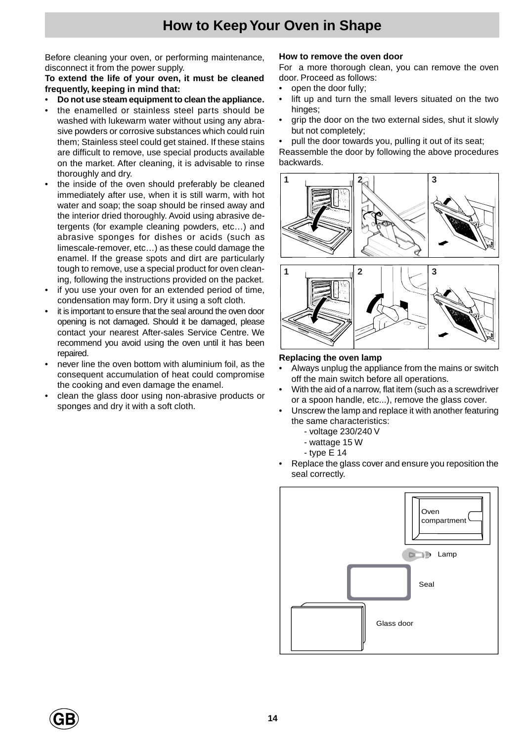<span id="page-13-0"></span>Before cleaning your oven, or performing maintenance, disconnect it from the power supply.

#### **To extend the life of your oven, it must be cleaned frequently, keeping in mind that:**

- **Do not use steam equipment to clean the appliance.**
- the enamelled or stainless steel parts should be washed with lukewarm water without using any abrasive powders or corrosive substances which could ruin them; Stainless steel could get stained. If these stains are difficult to remove, use special products available on the market. After cleaning, it is advisable to rinse thoroughly and dry.
- the inside of the oven should preferably be cleaned immediately after use, when it is still warm, with hot water and soap; the soap should be rinsed away and the interior dried thoroughly. Avoid using abrasive detergents (for example cleaning powders, etc…) and abrasive sponges for dishes or acids (such as limescale-remover, etc…) as these could damage the enamel. If the grease spots and dirt are particularly tough to remove, use a special product for oven cleaning, following the instructions provided on the packet.
- if you use your oven for an extended period of time, condensation may form. Dry it using a soft cloth.
- it is important to ensure that the seal around the oven door opening is not damaged. Should it be damaged, please contact your nearest After-sales Service Centre. We recommend you avoid using the oven until it has been repaired.
- never line the oven bottom with aluminium foil, as the consequent accumulation of heat could compromise the cooking and even damage the enamel.
- clean the glass door using non-abrasive products or sponges and dry it with a soft cloth.

#### **How to remove the oven door**

For a more thorough clean, you can remove the oven door. Proceed as follows:

- open the door fully;
- lift up and turn the small levers situated on the two hinges;
- grip the door on the two external sides, shut it slowly but not completely;

pull the door towards you, pulling it out of its seat;

Reassemble the door by following the above procedures backwards.





#### **Replacing the oven lamp**

- Always unplug the appliance from the mains or switch off the main switch before all operations.
- With the aid of a narrow, flat item (such as a screwdriver or a spoon handle, etc...), remove the glass cover.
- Unscrew the lamp and replace it with another featuring the same characteristics:
	- voltage 230/240 V
	- wattage 15 W
	- type E 14
- Replace the glass cover and ensure you reposition the seal correctly.

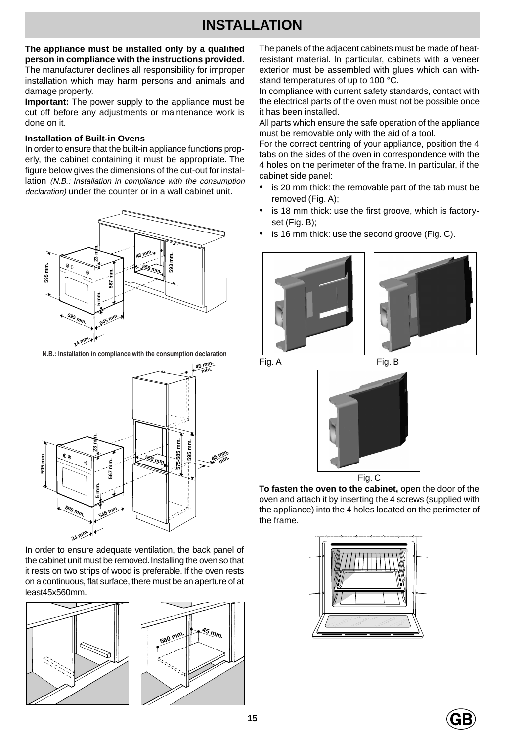# **INSTALLATION**

<span id="page-14-0"></span>**The appliance must be installed only by a qualified person in compliance with the instructions provided.** The manufacturer declines all responsibility for improper installation which may harm persons and animals and damage property.

**Important:** The power supply to the appliance must be cut off before any adjustments or maintenance work is done on it.

#### **Installation of Built-in Ovens**

In order to ensure that the built-in appliance functions properly, the cabinet containing it must be appropriate. The figure below gives the dimensions of the cut-out for installation (N.B.: Installation in compliance with the consumption declaration) under the counter or in a wall cabinet unit.



**N.B.: Installation in compliance with the consumption declaration**



In order to ensure adequate ventilation, the back panel of the cabinet unit must be removed. Installing the oven so that it rests on two strips of wood is preferable. If the oven rests on a continuous, flat surface, there must be an aperture of at least45x560mm.



The panels of the adjacent cabinets must be made of heatresistant material. In particular, cabinets with a veneer exterior must be assembled with glues which can withstand temperatures of up to 100 °C.

In compliance with current safety standards, contact with the electrical parts of the oven must not be possible once it has been installed.

All parts which ensure the safe operation of the appliance must be removable only with the aid of a tool.

For the correct centring of your appliance, position the 4 tabs on the sides of the oven in correspondence with the 4 holes on the perimeter of the frame. In particular, if the cabinet side panel:

- is 20 mm thick: the removable part of the tab must be removed (Fig. A);
- is 18 mm thick: use the first groove, which is factoryset (Fig. B);
- is 16 mm thick: use the second groove (Fig. C).





Fig. A Fig. B





**To fasten the oven to the cabinet,** open the door of the oven and attach it by inserting the 4 screws (supplied with the appliance) into the 4 holes located on the perimeter of the frame.

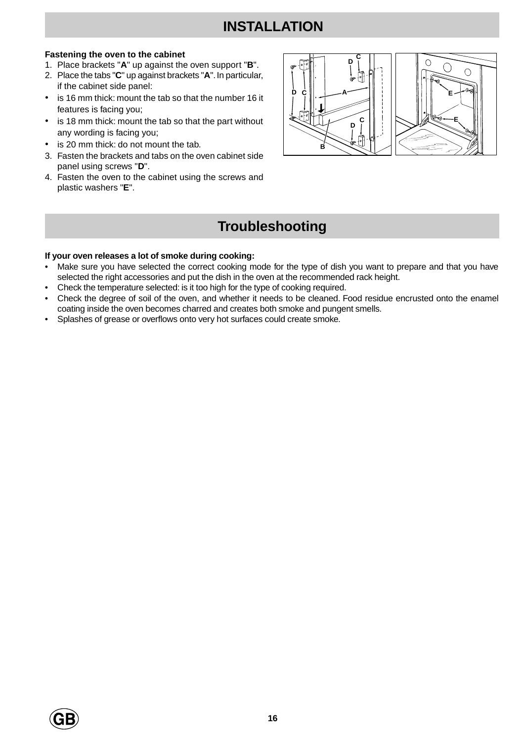# **INSTALLATION**

#### <span id="page-15-0"></span>**Fastening the oven to the cabinet**

- 1. Place brackets "**A**" up against the oven support "**B**".
- 2. Place the tabs "**C**" up against brackets "**A**". In particular, if the cabinet side panel:
- is 16 mm thick: mount the tab so that the number 16 it features is facing you;
- is 18 mm thick: mount the tab so that the part without any wording is facing you;
- is 20 mm thick: do not mount the tab.
- 3. Fasten the brackets and tabs on the oven cabinet side panel using screws "**D**".
- 4. Fasten the oven to the cabinet using the screws and plastic washers "**E**".



# **Troubleshooting**

#### **If your oven releases a lot of smoke during cooking:**

- Make sure you have selected the correct cooking mode for the type of dish you want to prepare and that you have selected the right accessories and put the dish in the oven at the recommended rack height.
- Check the temperature selected: is it too high for the type of cooking required.
- Check the degree of soil of the oven, and whether it needs to be cleaned. Food residue encrusted onto the enamel coating inside the oven becomes charred and creates both smoke and pungent smells.
- Splashes of grease or overflows onto very hot surfaces could create smoke.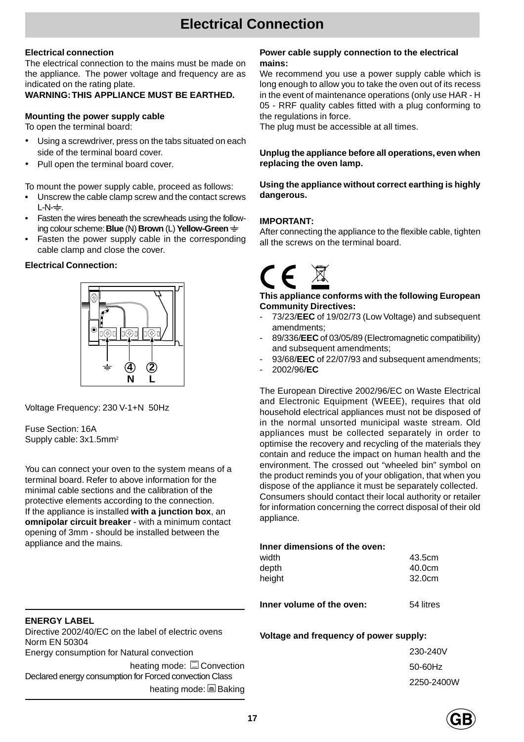# **Electrical Connection**

#### <span id="page-16-0"></span>**Electrical connection**

The electrical connection to the mains must be made on the appliance. The power voltage and frequency are as indicated on the rating plate.

#### **WARNING: THIS APPLIANCE MUST BE EARTHED.**

#### **Mounting the power supply cable**

To open the terminal board:

- Using a screwdriver, press on the tabs situated on each side of the terminal board cover.
- Pull open the terminal board cover.

To mount the power supply cable, proceed as follows:

- **•** Unscrew the cable clamp screw and the contact screws  $L-N=\pm$ .
- Fasten the wires beneath the screwheads using the follow**ing colour scheme: Blue (N) Brown (L) Yellow-Green**  $\pm$
- Fasten the power supply cable in the corresponding cable clamp and close the cover.

#### **Electrical Connection:**



Voltage Frequency: 230 V-1+N 50Hz

Fuse Section: 16A Supply cable: 3x1.5mm<sup>2</sup>

You can connect your oven to the system means of a terminal board. Refer to above information for the minimal cable sections and the calibration of the protective elements according to the connection. If the appliance is installed **with a junction box**, an **omnipolar circuit breaker** - with a minimum contact opening of 3mm - should be installed between the appliance and the mains.

#### **ENERGY LABEL**

Directive 2002/40/EC on the label of electric ovens Norm EN 50304 Energy consumption for Natural convection heating mode:  $\square$  Convection Declared energy consumption for Forced convection Class heating mode: **E** Baking

#### **Power cable supply connection to the electrical mains:**

We recommend you use a power supply cable which is long enough to allow you to take the oven out of its recess in the event of maintenance operations (only use HAR - H 05 - RRF quality cables fitted with a plug conforming to the regulations in force.

The plug must be accessible at all times.

#### **Unplug the appliance before all operations, even when replacing the oven lamp.**

#### **Using the appliance without correct earthing is highly dangerous.**

#### **IMPORTANT:**

After connecting the appliance to the flexible cable, tighten all the screws on the terminal board.



#### **This appliance conforms with the following European Community Directives:**

- 73/23/**EEC** of 19/02/73 (Low Voltage) and subsequent amendments;
- 89/336/**EEC** of 03/05/89 (Electromagnetic compatibility) and subsequent amendments:
- 93/68/**EEC** of 22/07/93 and subsequent amendments;
- 2002/96/**EC**

The European Directive 2002/96/EC on Waste Electrical and Electronic Equipment (WEEE), requires that old household electrical appliances must not be disposed of in the normal unsorted municipal waste stream. Old appliances must be collected separately in order to optimise the recovery and recycling of the materials they contain and reduce the impact on human health and the environment. The crossed out "wheeled bin" symbol on the product reminds you of your obligation, that when you dispose of the appliance it must be separately collected. Consumers should contact their local authority or retailer for information concerning the correct disposal of their old appliance.

#### **Inner dimensions of the oven:**

| width  | 43.5cm |
|--------|--------|
| depth  | 40.0cm |
| height | 32.0cm |

**Inner volume of the oven:** 54 litres

#### **Voltage and frequency of power supply:**

230-240V 50-60Hz 2250-2400W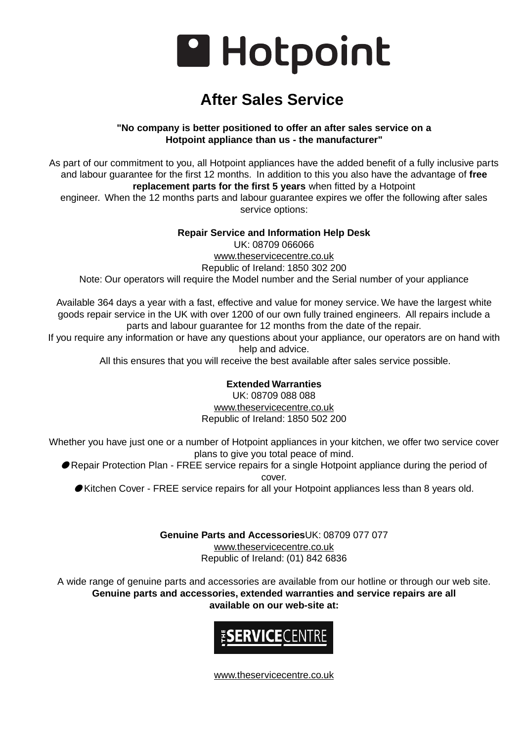

# **After Sales Service**

**"No company is better positioned to offer an after sales service on a Hotpoint appliance than us - the manufacturer"**

As part of our commitment to you, all Hotpoint appliances have the added benefit of a fully inclusive parts and labour guarantee for the first 12 months. In addition to this you also have the advantage of **free replacement parts for the first 5 years** when fitted by a Hotpoint

engineer. When the 12 months parts and labour guarantee expires we offer the following after sales service options:

## **Repair Service and Information Help Desk**

UK: 08709 066066 www.theservicecentre.co.uk Republic of Ireland: 1850 302 200

Note: Our operators will require the Model number and the Serial number of your appliance

Available 364 days a year with a fast, effective and value for money service. We have the largest white goods repair service in the UK with over 1200 of our own fully trained engineers. All repairs include a parts and labour guarantee for 12 months from the date of the repair.

If you require any information or have any questions about your appliance, our operators are on hand with help and advice.

All this ensures that you will receive the best available after sales service possible.

#### **Extended Warranties**

UK: 08709 088 088 www.theservicecentre.co.uk Republic of Ireland: 1850 502 200

Whether you have just one or a number of Hotpoint appliances in your kitchen, we offer two service cover plans to give you total peace of mind.

● Repair Protection Plan - FREE service repairs for a single Hotpoint appliance during the period of cover.

● Kitchen Cover - FREE service repairs for all your Hotpoint appliances less than 8 years old.

**Genuine Parts and Accessories**UK: 08709 077 077 www.theservicecentre.co.uk Republic of Ireland: (01) 842 6836

A wide range of genuine parts and accessories are available from our hotline or through our web site. **Genuine parts and accessories, extended warranties and service repairs are all available on our web-site at:**

# SERVICECEI

www.theservicecentre.co.uk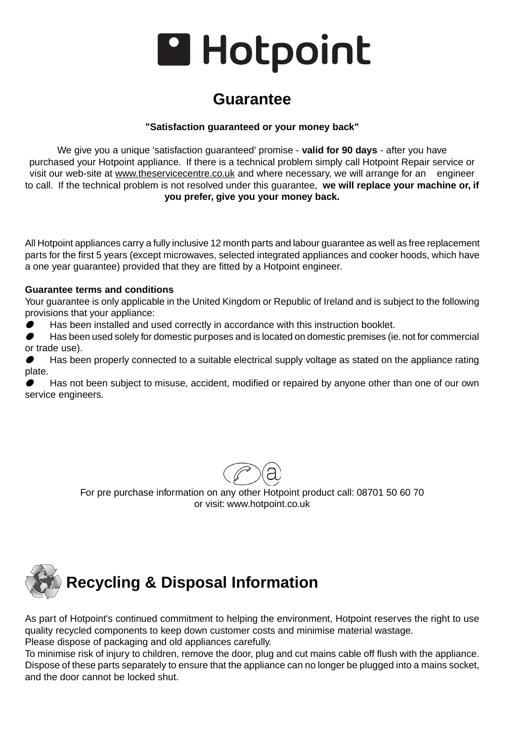

# **Guarantee**

#### **"Satisfaction guaranteed or your money back"**

We give you a unique 'satisfaction guaranteed' promise - **valid for 90 days** - after you have purchased your Hotpoint appliance. If there is a technical problem simply call Hotpoint Repair service or visit our web-site at www.theservicecentre.co.uk and where necessary, we will arrange for an engineer to call. If the technical problem is not resolved under this guarantee, **we will replace your machine or, if you prefer, give you your money back.**

All Hotpoint appliances carry a fully inclusive 12 month parts and labour guarantee as well as free replacement parts for the first 5 years (except microwaves, selected integrated appliances and cooker hoods, which have a one year guarantee) provided that they are fitted by a Hotpoint engineer.

#### **Guarantee terms and conditions**

Your guarantee is only applicable in the United Kingdom or Republic of Ireland and is subject to the following provisions that your appliance:

Has been installed and used correctly in accordance with this instruction booklet.

l Has been used solely for domestic purposes and is located on domestic premises (ie. not for commercial or trade use).

Has been properly connected to a suitable electrical supply voltage as stated on the appliance rating plate.

Has not been subject to misuse, accident, modified or repaired by anyone other than one of our own service engineers.



For pre purchase information on any other Hotpoint product call: 08701 50 60 70 or visit: www.hotpoint.co.uk



As part of Hotpoint's continued commitment to helping the environment, Hotpoint reserves the right to use quality recycled components to keep down customer costs and minimise material wastage. Please dispose of packaging and old appliances carefully.

To minimise risk of injury to children, remove the door, plug and cut mains cable off flush with the appliance. Dispose of these parts separately to ensure that the appliance can no longer be plugged into a mains socket, and the door cannot be locked shut.